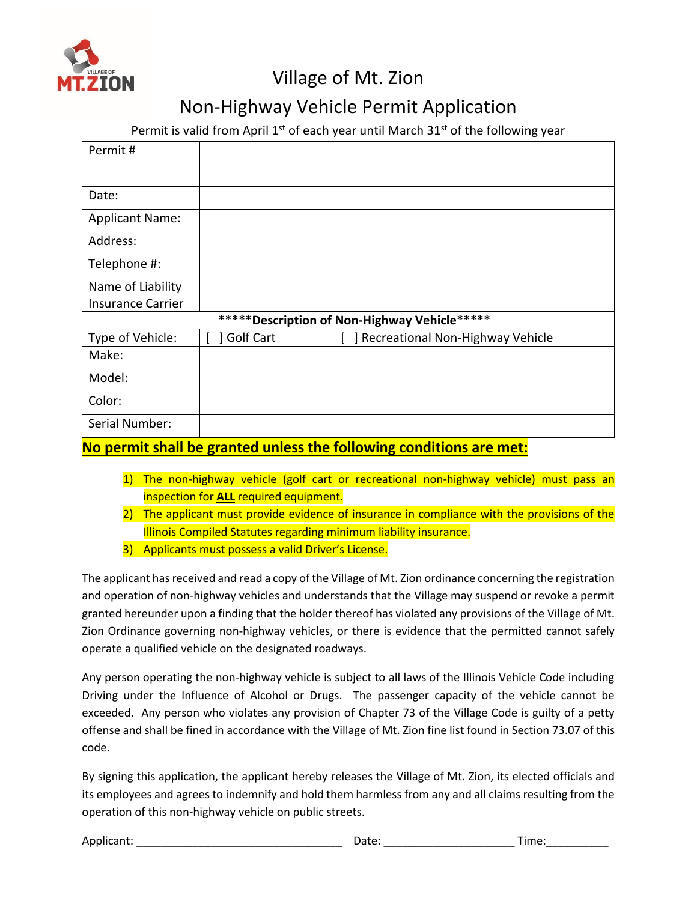

## Village of Mt. Zion

## Non-Highway Vehicle Permit Application

Permit is valid from April 1<sup>st</sup> of each year until March 31<sup>st</sup> of the following year

| Permit#                                       |                  |                                  |  |  |
|-----------------------------------------------|------------------|----------------------------------|--|--|
|                                               |                  |                                  |  |  |
| Date:                                         |                  |                                  |  |  |
| <b>Applicant Name:</b>                        |                  |                                  |  |  |
| Address:                                      |                  |                                  |  |  |
| Telephone #:                                  |                  |                                  |  |  |
| Name of Liability                             |                  |                                  |  |  |
| <b>Insurance Carrier</b>                      |                  |                                  |  |  |
| ***** Description of Non-Highway Vehicle***** |                  |                                  |  |  |
| Type of Vehicle:                              | <b>Golf Cart</b> | Recreational Non-Highway Vehicle |  |  |
| Make:                                         |                  |                                  |  |  |
| Model:                                        |                  |                                  |  |  |
| Color:                                        |                  |                                  |  |  |
| Serial Number:                                |                  |                                  |  |  |

## **No permit shall be granted unless the following conditions are met:**

- 1) The non-highway vehicle (golf cart or recreational non-highway vehicle) must pass an inspection for **ALL** required equipment.
- 2) The applicant must provide evidence of insurance in compliance with the provisions of the Illinois Compiled Statutes regarding minimum liability insurance.
- 3) Applicants must possess a valid Driver's License.

The applicant has received and read a copy of the Village of Mt. Zion ordinance concerning the registration and operation of non-highway vehicles and understands that the Village may suspend or revoke a permit granted hereunder upon a finding that the holder thereof has violated any provisions of the Village of Mt. Zion Ordinance governing non-highway vehicles, or there is evidence that the permitted cannot safely operate a qualified vehicle on the designated roadways.

Any person operating the non-highway vehicle is subject to all laws of the Illinois Vehicle Code including Driving under the Influence of Alcohol or Drugs. The passenger capacity of the vehicle cannot be exceeded. Any person who violates any provision of Chapter 73 of the Village Code is guilty of a petty offense and shall be fined in accordance with the Village of Mt. Zion fine list found in Section 73.07 of this code.

By signing this application, the applicant hereby releases the Village of Mt. Zion, its elected officials and its employees and agrees to indemnify and hold them harmless from any and all claims resulting from the operation of this non-highway vehicle on public streets.

Applicant: \_\_\_\_\_\_\_\_\_\_\_\_\_\_\_\_\_\_\_\_\_\_\_\_\_\_\_\_\_\_\_\_\_ Date: \_\_\_\_\_\_\_\_\_\_\_\_\_\_\_\_\_\_\_\_\_ Time:\_\_\_\_\_\_\_\_\_\_